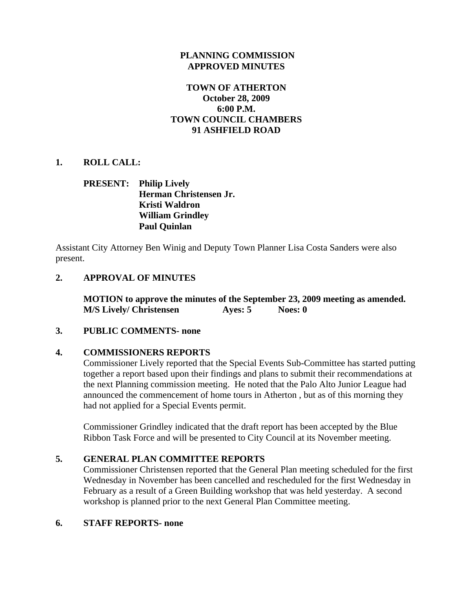### **PLANNING COMMISSION APPROVED MINUTES**

# **TOWN OF ATHERTON October 28, 2009 6:00 P.M. TOWN COUNCIL CHAMBERS 91 ASHFIELD ROAD**

## **1. ROLL CALL:**

# **PRESENT: Philip Lively Herman Christensen Jr. Kristi Waldron William Grindley Paul Quinlan**

Assistant City Attorney Ben Winig and Deputy Town Planner Lisa Costa Sanders were also present.

## **2. APPROVAL OF MINUTES**

 **MOTION to approve the minutes of the September 23, 2009 meeting as amended. M/S Lively/ Christensen Ayes: 5** Noes: 0

### **3. PUBLIC COMMENTS- none**

# **4. COMMISSIONERS REPORTS**

Commissioner Lively reported that the Special Events Sub-Committee has started putting together a report based upon their findings and plans to submit their recommendations at the next Planning commission meeting. He noted that the Palo Alto Junior League had announced the commencement of home tours in Atherton , but as of this morning they had not applied for a Special Events permit.

Commissioner Grindley indicated that the draft report has been accepted by the Blue Ribbon Task Force and will be presented to City Council at its November meeting.

# **5. GENERAL PLAN COMMITTEE REPORTS**

Commissioner Christensen reported that the General Plan meeting scheduled for the first Wednesday in November has been cancelled and rescheduled for the first Wednesday in February as a result of a Green Building workshop that was held yesterday. A second workshop is planned prior to the next General Plan Committee meeting.

### **6. STAFF REPORTS- none**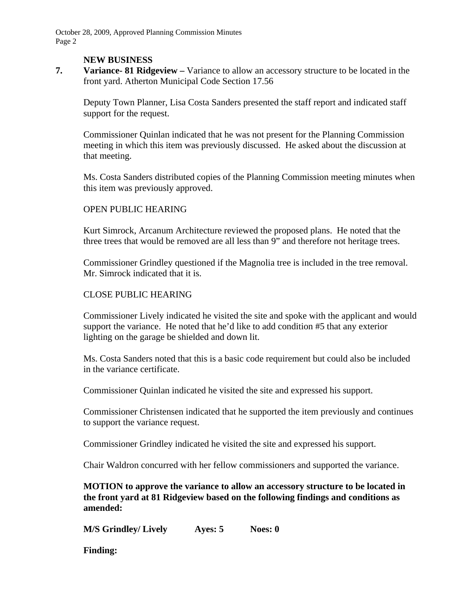October 28, 2009, Approved Planning Commission Minutes Page 2

#### **NEW BUSINESS**

**7. Variance- 81 Ridgeview –** Variance to allow an accessory structure to be located in the front yard. Atherton Municipal Code Section 17.56

Deputy Town Planner, Lisa Costa Sanders presented the staff report and indicated staff support for the request.

Commissioner Quinlan indicated that he was not present for the Planning Commission meeting in which this item was previously discussed. He asked about the discussion at that meeting.

Ms. Costa Sanders distributed copies of the Planning Commission meeting minutes when this item was previously approved.

### OPEN PUBLIC HEARING

Kurt Simrock, Arcanum Architecture reviewed the proposed plans. He noted that the three trees that would be removed are all less than 9" and therefore not heritage trees.

Commissioner Grindley questioned if the Magnolia tree is included in the tree removal. Mr. Simrock indicated that it is.

#### CLOSE PUBLIC HEARING

Commissioner Lively indicated he visited the site and spoke with the applicant and would support the variance. He noted that he'd like to add condition #5 that any exterior lighting on the garage be shielded and down lit.

Ms. Costa Sanders noted that this is a basic code requirement but could also be included in the variance certificate.

Commissioner Quinlan indicated he visited the site and expressed his support.

Commissioner Christensen indicated that he supported the item previously and continues to support the variance request.

Commissioner Grindley indicated he visited the site and expressed his support.

Chair Waldron concurred with her fellow commissioners and supported the variance.

**MOTION to approve the variance to allow an accessory structure to be located in the front yard at 81 Ridgeview based on the following findings and conditions as amended:** 

**M/S Grindley/ Lively Ayes: 5 Noes: 0** 

**Finding:**